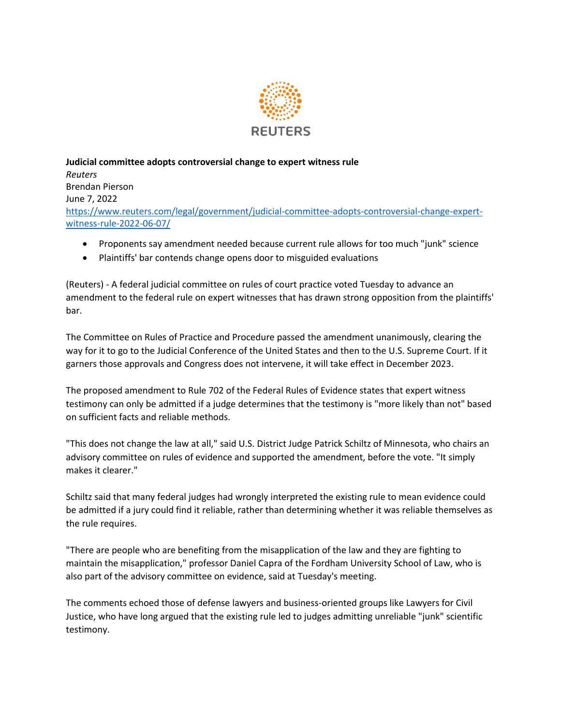

**Judicial committee adopts controversial change to expert witness rule** *Reuters* Brendan Pierson June 7, 2022 [https://www.reuters.com/legal/government/judicial-committee-adopts-controversial-change-expert](https://www.reuters.com/legal/government/judicial-committee-adopts-controversial-change-expert-witness-rule-2022-06-07/)[witness-rule-2022-06-07/](https://www.reuters.com/legal/government/judicial-committee-adopts-controversial-change-expert-witness-rule-2022-06-07/)

- Proponents say amendment needed because current rule allows for too much "junk" science
- Plaintiffs' bar contends change opens door to misguided evaluations

(Reuters) - A federal judicial committee on rules of court practice voted Tuesday to advance an amendment to the federal rule on expert witnesses that has drawn strong opposition from the plaintiffs' bar.

The Committee on Rules of Practice and Procedure passed the amendment unanimously, clearing the way for it to go to the Judicial Conference of the United States and then to the U.S. Supreme Court. If it garners those approvals and Congress does not intervene, it will take effect in December 2023.

The proposed amendment to Rule 702 of the Federal Rules of Evidence states that expert witness testimony can only be admitted if a judge determines that the testimony is "more likely than not" based on sufficient facts and reliable methods.

"This does not change the law at all," said U.S. District Judge Patrick Schiltz of Minnesota, who chairs an advisory committee on rules of evidence and supported the amendment, before the vote. "It simply makes it clearer."

Schiltz said that many federal judges had wrongly interpreted the existing rule to mean evidence could be admitted if a jury could find it reliable, rather than determining whether it was reliable themselves as the rule requires.

"There are people who are benefiting from the misapplication of the law and they are fighting to maintain the misapplication," professor Daniel Capra of the Fordham University School of Law, who is also part of the advisory committee on evidence, said at Tuesday's meeting.

The comments echoed those of defense lawyers and business-oriented groups like Lawyers for Civil Justice, who have long argued that the existing rule led to judges admitting unreliable "junk" scientific testimony.